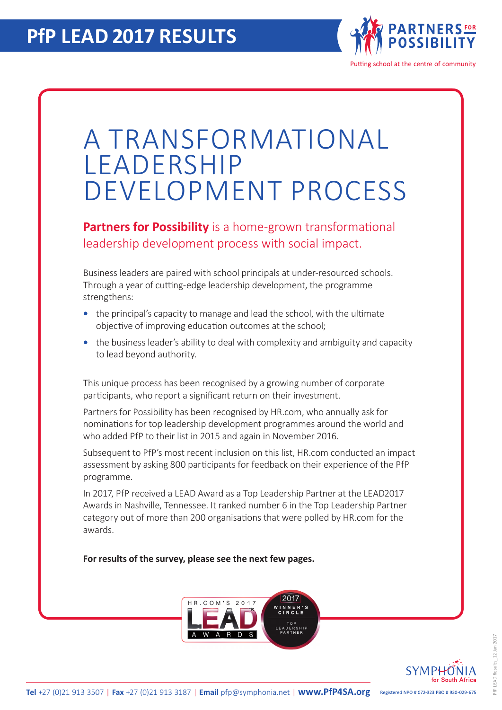

## A TRANSFORMATIONAL LEADERSHIP DEVELOPMENT PROCESS

**Partners for Possibility** is a home-grown transformational leadership development process with social impact.

Business leaders are paired with school principals at under-resourced schools. Through a year of cutting-edge leadership development, the programme strengthens:

- the principal's capacity to manage and lead the school, with the ultimate objective of improving education outcomes at the school;
- the business leader's ability to deal with complexity and ambiguity and capacity to lead beyond authority.

This unique process has been recognised by a growing number of corporate participants, who report a significant return on their investment.

Partners for Possibility has been recognised by HR.com, who annually ask for nominations for top leadership development programmes around the world and who added PfP to their list in 2015 and again in November 2016.

Subsequent to PfP's most recent inclusion on this list, HR.com conducted an impact assessment by asking 800 participants for feedback on their experience of the PfP programme.

In 2017, PfP received a LEAD Award as a Top Leadership Partner at the LEAD2017 Awards in Nashville, Tennessee. It ranked number 6 in the Top Leadership Partner category out of more than 200 organisations that were polled by HR.com for the awards.

**For results of the survey, please see the next few pages.**



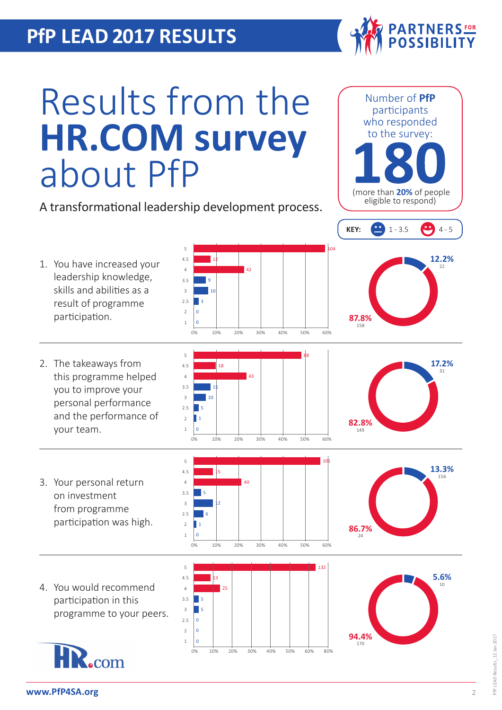## **PfP LEAD 2017 RESULTS**



Number of **PfP**

## Results from the **HR.COM survey** about PfP

A transformational leadership development process.

5

5

3 2.5  $\overline{2}$ 1

5 4.5 4 3.5 3 2.5  $\overline{2}$ 1

5 5  $\overline{0}$  $\overline{0}$  $\overline{0}$ 

> 13  $25$

12

9 10 3  $\overline{0}$  $\Omega$ 

participants who responded to the survey: (more than **20%** of people eligible to respond) 104 **12.2% KEY:**  $\begin{pmatrix} 1 & 3 & 5 \\ 4 & -5 & 5 \end{pmatrix}$  4 - 5

- 1. You have increased your leadership knowledge, skills and abilities as a result of programme participation. 4.5 4 3.5 3 2.5  $\overline{2}$ 1
- 2. The takeaways from this programme helped you to improve your personal performance and the performance of your team.
- 3. Your personal return on investment from programme participation was high.
- 4. You would recommend participation in this programme to your peers.





0% 10% 20% 30% 40% 50% 60%

0% 10% 20% 30% 40% 50% 60%

88

132

42



**87.8%** <sup>158</sup>